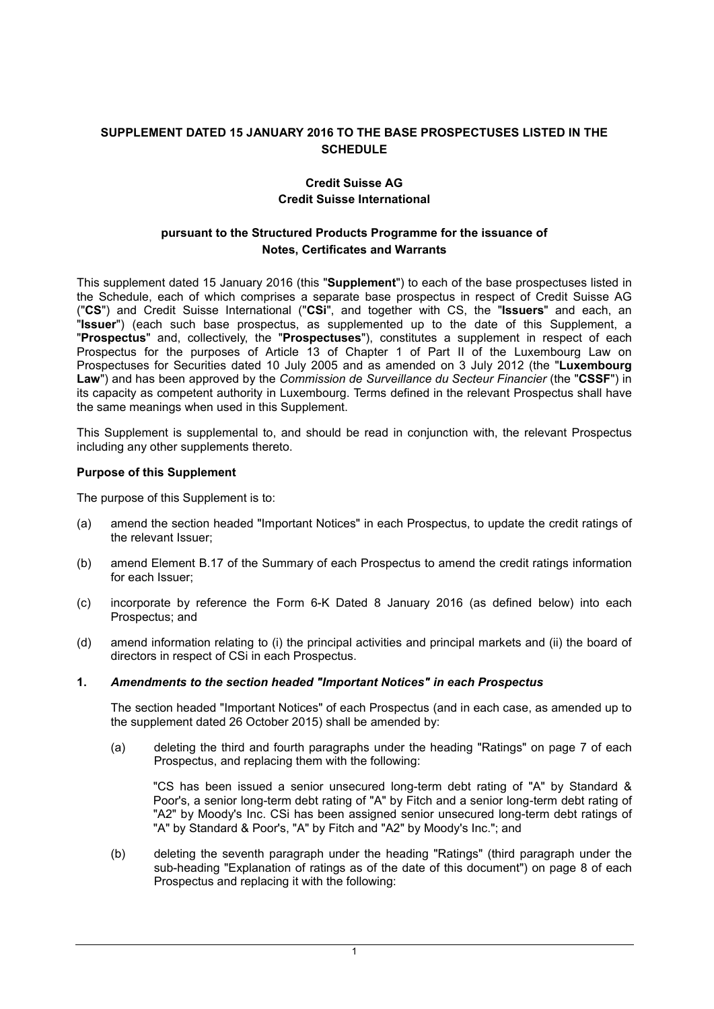# **SUPPLEMENT DATED 15 JANUARY 2016 TO THE BASE PROSPECTUSES LISTED IN THE SCHEDULE**

# **Credit Suisse AG Credit Suisse International**

## **pursuant to the Structured Products Programme for the issuance of Notes, Certificates and Warrants**

This supplement dated 15 January 2016 (this "**Supplement**") to each of the base prospectuses listed in the Schedule, each of which comprises a separate base prospectus in respect of Credit Suisse AG ("**CS**") and Credit Suisse International ("**CSi**", and together with CS, the "**Issuers**" and each, an "**Issuer**") (each such base prospectus, as supplemented up to the date of this Supplement, a "**Prospectus**" and, collectively, the "**Prospectuses**"), constitutes a supplement in respect of each Prospectus for the purposes of Article 13 of Chapter 1 of Part II of the Luxembourg Law on Prospectuses for Securities dated 10 July 2005 and as amended on 3 July 2012 (the "**Luxembourg Law**") and has been approved by the *Commission de Surveillance du Secteur Financier* (the "**CSSF**") in its capacity as competent authority in Luxembourg. Terms defined in the relevant Prospectus shall have the same meanings when used in this Supplement.

This Supplement is supplemental to, and should be read in conjunction with, the relevant Prospectus including any other supplements thereto.

### **Purpose of this Supplement**

The purpose of this Supplement is to:

- (a) amend the section headed "Important Notices" in each Prospectus, to update the credit ratings of the relevant Issuer;
- (b) amend Element B.17 of the Summary of each Prospectus to amend the credit ratings information for each Issuer;
- (c) incorporate by reference the Form 6-K Dated 8 January 2016 (as defined below) into each Prospectus; and
- (d) amend information relating to (i) the principal activities and principal markets and (ii) the board of directors in respect of CSi in each Prospectus.

### **1.** *Amendments to the section headed "Important Notices" in each Prospectus*

The section headed "Important Notices" of each Prospectus (and in each case, as amended up to the supplement dated 26 October 2015) shall be amended by:

(a) deleting the third and fourth paragraphs under the heading "Ratings" on page 7 of each Prospectus, and replacing them with the following:

"CS has been issued a senior unsecured long-term debt rating of "A" by Standard & Poor's, a senior long-term debt rating of "A" by Fitch and a senior long-term debt rating of "A2" by Moody's Inc. CSi has been assigned senior unsecured long-term debt ratings of "A" by Standard & Poor's, "A" by Fitch and "A2" by Moody's Inc."; and

(b) deleting the seventh paragraph under the heading "Ratings" (third paragraph under the sub-heading "Explanation of ratings as of the date of this document") on page 8 of each Prospectus and replacing it with the following: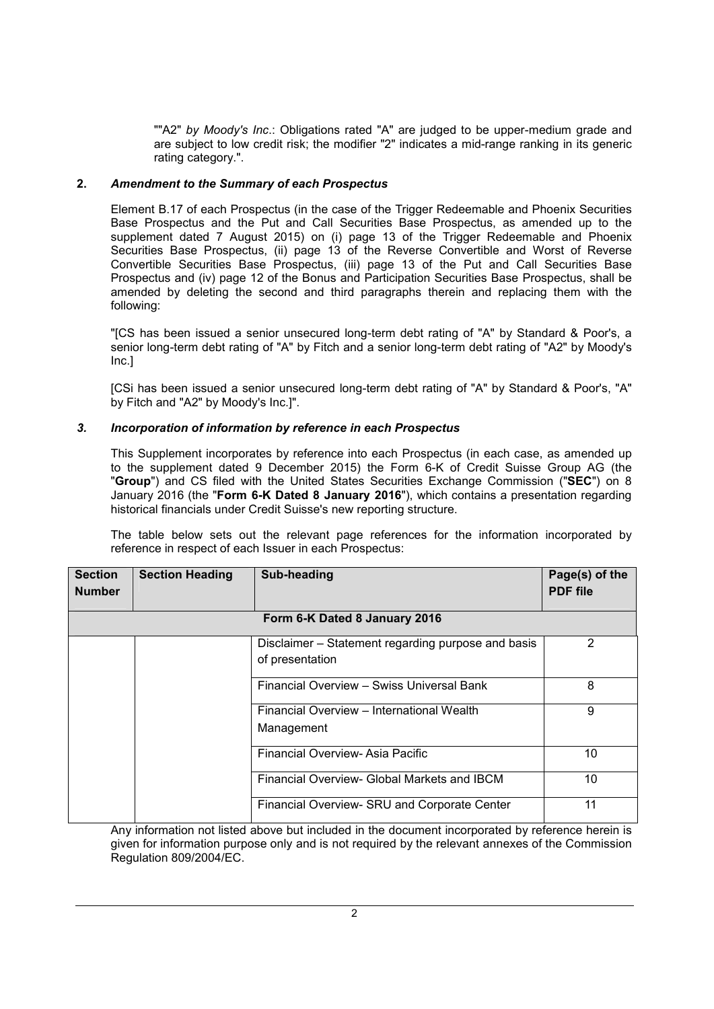""A2" *by Moody's Inc*.: Obligations rated "A" are judged to be upper-medium grade and are subject to low credit risk; the modifier "2" indicates a mid-range ranking in its generic rating category.".

### **2.** *Amendment to the Summary of each Prospectus*

Element B.17 of each Prospectus (in the case of the Trigger Redeemable and Phoenix Securities Base Prospectus and the Put and Call Securities Base Prospectus, as amended up to the supplement dated 7 August 2015) on (i) page 13 of the Trigger Redeemable and Phoenix Securities Base Prospectus, (ii) page 13 of the Reverse Convertible and Worst of Reverse Convertible Securities Base Prospectus, (iii) page 13 of the Put and Call Securities Base Prospectus and (iv) page 12 of the Bonus and Participation Securities Base Prospectus, shall be amended by deleting the second and third paragraphs therein and replacing them with the following:

"[CS has been issued a senior unsecured long-term debt rating of "A" by Standard & Poor's, a senior long-term debt rating of "A" by Fitch and a senior long-term debt rating of "A2" by Moody's Inc.]

[CSi has been issued a senior unsecured long-term debt rating of "A" by Standard & Poor's, "A" by Fitch and "A2" by Moody's Inc.]".

#### *3. Incorporation of information by reference in each Prospectus*

This Supplement incorporates by reference into each Prospectus (in each case, as amended up to the supplement dated 9 December 2015) the Form 6-K of Credit Suisse Group AG (the "**Group**") and CS filed with the United States Securities Exchange Commission ("**SEC**") on 8 January 2016 (the "**Form 6-K Dated 8 January 2016**"), which contains a presentation regarding historical financials under Credit Suisse's new reporting structure.

The table below sets out the relevant page references for the information incorporated by reference in respect of each Issuer in each Prospectus:

| <b>Section</b>                | <b>Section Heading</b> | <b>Sub-heading</b>                                 | Page(s) of the  |
|-------------------------------|------------------------|----------------------------------------------------|-----------------|
| <b>Number</b>                 |                        |                                                    | <b>PDF</b> file |
|                               |                        |                                                    |                 |
| Form 6-K Dated 8 January 2016 |                        |                                                    |                 |
|                               |                        | Disclaimer – Statement regarding purpose and basis | 2               |
|                               |                        | of presentation                                    |                 |
|                               |                        | Financial Overview - Swiss Universal Bank          | 8               |
|                               |                        | Financial Overview - International Wealth          | 9               |
|                               |                        | Management                                         |                 |
|                               |                        | Financial Overview-Asia Pacific                    | 10              |
|                               |                        | Financial Overview- Global Markets and IBCM        | 10              |
|                               |                        | Financial Overview- SRU and Corporate Center       | 11              |

Any information not listed above but included in the document incorporated by reference herein is given for information purpose only and is not required by the relevant annexes of the Commission Regulation 809/2004/EC.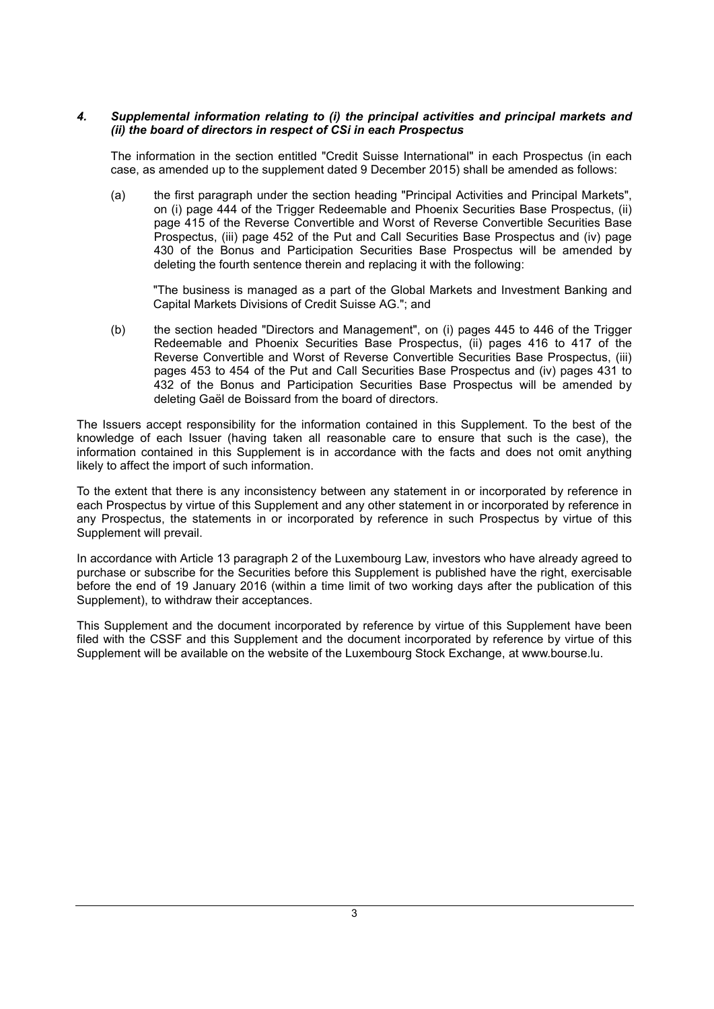### *4. Supplemental information relating to (i) the principal activities and principal markets and (ii) the board of directors in respect of CSi in each Prospectus*

The information in the section entitled "Credit Suisse International" in each Prospectus (in each case, as amended up to the supplement dated 9 December 2015) shall be amended as follows:

(a) the first paragraph under the section heading "Principal Activities and Principal Markets", on (i) page 444 of the Trigger Redeemable and Phoenix Securities Base Prospectus, (ii) page 415 of the Reverse Convertible and Worst of Reverse Convertible Securities Base Prospectus, (iii) page 452 of the Put and Call Securities Base Prospectus and (iv) page 430 of the Bonus and Participation Securities Base Prospectus will be amended by deleting the fourth sentence therein and replacing it with the following:

"The business is managed as a part of the Global Markets and Investment Banking and Capital Markets Divisions of Credit Suisse AG."; and

(b) the section headed "Directors and Management", on (i) pages 445 to 446 of the Trigger Redeemable and Phoenix Securities Base Prospectus, (ii) pages 416 to 417 of the Reverse Convertible and Worst of Reverse Convertible Securities Base Prospectus, (iii) pages 453 to 454 of the Put and Call Securities Base Prospectus and (iv) pages 431 to 432 of the Bonus and Participation Securities Base Prospectus will be amended by deleting Gaël de Boissard from the board of directors.

The Issuers accept responsibility for the information contained in this Supplement. To the best of the knowledge of each Issuer (having taken all reasonable care to ensure that such is the case), the information contained in this Supplement is in accordance with the facts and does not omit anything likely to affect the import of such information.

To the extent that there is any inconsistency between any statement in or incorporated by reference in each Prospectus by virtue of this Supplement and any other statement in or incorporated by reference in any Prospectus, the statements in or incorporated by reference in such Prospectus by virtue of this Supplement will prevail.

In accordance with Article 13 paragraph 2 of the Luxembourg Law, investors who have already agreed to purchase or subscribe for the Securities before this Supplement is published have the right, exercisable before the end of 19 January 2016 (within a time limit of two working days after the publication of this Supplement), to withdraw their acceptances.

This Supplement and the document incorporated by reference by virtue of this Supplement have been filed with the CSSF and this Supplement and the document incorporated by reference by virtue of this Supplement will be available on the website of the Luxembourg Stock Exchange, at [www.bourse.lu.](http://www.bourse.lu/)